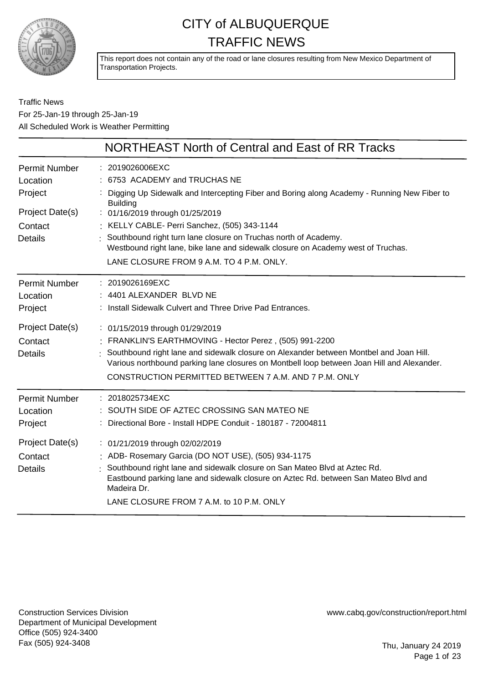

This report does not contain any of the road or lane closures resulting from New Mexico Department of Transportation Projects.

### Traffic News For 25-Jan-19 through 25-Jan-19 All Scheduled Work is Weather Permitting

|                                                                                             | NORTHEAST North of Central and East of RR Tracks                                                                                                                                                                                                                                                                                                                                                                                                          |
|---------------------------------------------------------------------------------------------|-----------------------------------------------------------------------------------------------------------------------------------------------------------------------------------------------------------------------------------------------------------------------------------------------------------------------------------------------------------------------------------------------------------------------------------------------------------|
| <b>Permit Number</b><br>Location<br>Project<br>Project Date(s)<br>Contact<br><b>Details</b> | : 2019026006EXC<br>: 6753 ACADEMY and TRUCHAS NE<br>Digging Up Sidewalk and Intercepting Fiber and Boring along Academy - Running New Fiber to<br><b>Building</b><br>: 01/16/2019 through 01/25/2019<br>: KELLY CABLE- Perri Sanchez, (505) 343-1144<br>: Southbound right turn lane closure on Truchas north of Academy.<br>Westbound right lane, bike lane and sidewalk closure on Academy west of Truchas.<br>LANE CLOSURE FROM 9 A.M. TO 4 P.M. ONLY. |
| <b>Permit Number</b><br>Location<br>Project                                                 | : 2019026169EXC<br>: 4401 ALEXANDER BLVD NE<br>: Install Sidewalk Culvert and Three Drive Pad Entrances.                                                                                                                                                                                                                                                                                                                                                  |
| Project Date(s)<br>Contact<br><b>Details</b>                                                | : 01/15/2019 through 01/29/2019<br>FRANKLIN'S EARTHMOVING - Hector Perez, (505) 991-2200<br>Southbound right lane and sidewalk closure on Alexander between Montbel and Joan Hill.<br>Various northbound parking lane closures on Montbell loop between Joan Hill and Alexander.<br>CONSTRUCTION PERMITTED BETWEEN 7 A.M. AND 7 P.M. ONLY                                                                                                                 |
| <b>Permit Number</b><br>Location<br>Project                                                 | : 2018025734EXC<br>SOUTH SIDE OF AZTEC CROSSING SAN MATEO NE<br>Directional Bore - Install HDPE Conduit - 180187 - 72004811                                                                                                                                                                                                                                                                                                                               |
| Project Date(s)<br>Contact<br><b>Details</b>                                                | : 01/21/2019 through 02/02/2019<br>: ADB- Rosemary Garcia (DO NOT USE), (505) 934-1175<br>Southbound right lane and sidewalk closure on San Mateo Blvd at Aztec Rd.<br>Eastbound parking lane and sidewalk closure on Aztec Rd. between San Mateo Blvd and<br>Madeira Dr.<br>LANE CLOSURE FROM 7 A.M. to 10 P.M. ONLY                                                                                                                                     |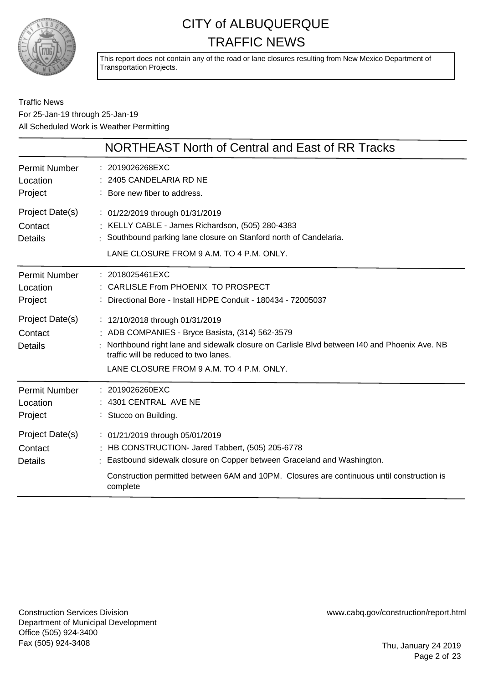

This report does not contain any of the road or lane closures resulting from New Mexico Department of Transportation Projects.

Traffic News For 25-Jan-19 through 25-Jan-19 All Scheduled Work is Weather Permitting

|                                              | <b>NORTHEAST North of Central and East of RR Tracks</b>                                                                                                                                                                                                                   |
|----------------------------------------------|---------------------------------------------------------------------------------------------------------------------------------------------------------------------------------------------------------------------------------------------------------------------------|
| <b>Permit Number</b><br>Location<br>Project  | : 2019026268EXC<br>2405 CANDELARIA RD NE<br>: Bore new fiber to address.                                                                                                                                                                                                  |
| Project Date(s)<br>Contact<br>Details        | : 01/22/2019 through 01/31/2019<br>: KELLY CABLE - James Richardson, (505) 280-4383<br>Southbound parking lane closure on Stanford north of Candelaria.<br>LANE CLOSURE FROM 9 A.M. TO 4 P.M. ONLY.                                                                       |
| <b>Permit Number</b><br>Location<br>Project  | $: 2018025461$ EXC<br>: CARLISLE From PHOENIX TO PROSPECT<br>: Directional Bore - Install HDPE Conduit - 180434 - 72005037                                                                                                                                                |
| Project Date(s)<br>Contact<br><b>Details</b> | : 12/10/2018 through 01/31/2019<br>: ADB COMPANIES - Bryce Basista, (314) 562-3579<br>Northbound right lane and sidewalk closure on Carlisle Blvd between 140 and Phoenix Ave. NB<br>traffic will be reduced to two lanes.<br>LANE CLOSURE FROM 9 A.M. TO 4 P.M. ONLY.    |
| <b>Permit Number</b><br>Location<br>Project  | : 2019026260EXC<br>4301 CENTRAL AVE NE<br>: Stucco on Building.                                                                                                                                                                                                           |
| Project Date(s)<br>Contact<br><b>Details</b> | : 01/21/2019 through 05/01/2019<br>: HB CONSTRUCTION- Jared Tabbert, (505) 205-6778<br>: Eastbound sidewalk closure on Copper between Graceland and Washington.<br>Construction permitted between 6AM and 10PM. Closures are continuous until construction is<br>complete |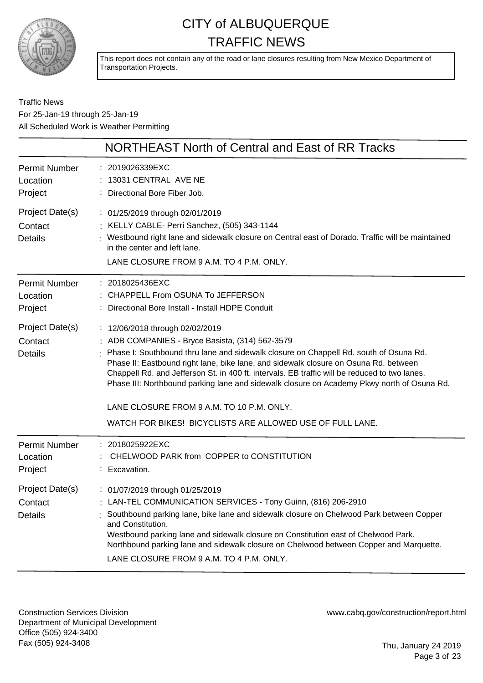

This report does not contain any of the road or lane closures resulting from New Mexico Department of Transportation Projects.

Traffic News For 25-Jan-19 through 25-Jan-19 All Scheduled Work is Weather Permitting

|                                              | NORTHEAST North of Central and East of RR Tracks                                                                                                                                                                                                                                                                                                                                                                                                                                                                                                                             |
|----------------------------------------------|------------------------------------------------------------------------------------------------------------------------------------------------------------------------------------------------------------------------------------------------------------------------------------------------------------------------------------------------------------------------------------------------------------------------------------------------------------------------------------------------------------------------------------------------------------------------------|
| <b>Permit Number</b><br>Location<br>Project  | : 2019026339EXC<br>13031 CENTRAL AVE NE<br>: Directional Bore Fiber Job.                                                                                                                                                                                                                                                                                                                                                                                                                                                                                                     |
| Project Date(s)<br>Contact<br><b>Details</b> | : 01/25/2019 through 02/01/2019<br>: KELLY CABLE- Perri Sanchez, (505) 343-1144<br>: Westbound right lane and sidewalk closure on Central east of Dorado. Traffic will be maintained<br>in the center and left lane.<br>LANE CLOSURE FROM 9 A.M. TO 4 P.M. ONLY.                                                                                                                                                                                                                                                                                                             |
| Permit Number<br>Location<br>Project         | : 2018025436EXC<br>: CHAPPELL From OSUNA To JEFFERSON<br>: Directional Bore Install - Install HDPE Conduit                                                                                                                                                                                                                                                                                                                                                                                                                                                                   |
| Project Date(s)<br>Contact<br><b>Details</b> | : 12/06/2018 through 02/02/2019<br>: ADB COMPANIES - Bryce Basista, (314) 562-3579<br>Phase I: Southbound thru lane and sidewalk closure on Chappell Rd. south of Osuna Rd.<br>Phase II: Eastbound right lane, bike lane, and sidewalk closure on Osuna Rd. between<br>Chappell Rd. and Jefferson St. in 400 ft. intervals. EB traffic will be reduced to two lanes.<br>Phase III: Northbound parking lane and sidewalk closure on Academy Pkwy north of Osuna Rd.<br>LANE CLOSURE FROM 9 A.M. TO 10 P.M. ONLY.<br>WATCH FOR BIKES! BICYCLISTS ARE ALLOWED USE OF FULL LANE. |
| <b>Permit Number</b><br>Location<br>Project  | : 2018025922EXC<br>CHELWOOD PARK from COPPER to CONSTITUTION<br>Excavation.                                                                                                                                                                                                                                                                                                                                                                                                                                                                                                  |
| Project Date(s)<br>Contact<br><b>Details</b> | : 01/07/2019 through 01/25/2019<br>: LAN-TEL COMMUNICATION SERVICES - Tony Guinn, (816) 206-2910<br>Southbound parking lane, bike lane and sidewalk closure on Chelwood Park between Copper<br>and Constitution.<br>Westbound parking lane and sidewalk closure on Constitution east of Chelwood Park.<br>Northbound parking lane and sidewalk closure on Chelwood between Copper and Marquette.<br>LANE CLOSURE FROM 9 A.M. TO 4 P.M. ONLY.                                                                                                                                 |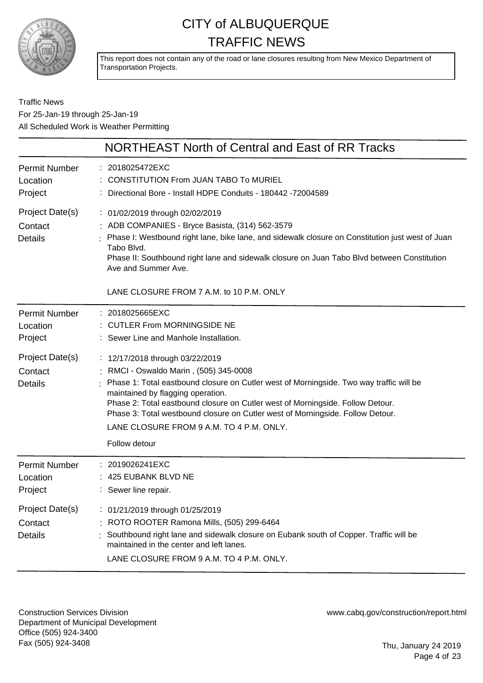

This report does not contain any of the road or lane closures resulting from New Mexico Department of Transportation Projects.

### Traffic News For 25-Jan-19 through 25-Jan-19 All Scheduled Work is Weather Permitting

|                                                                                      | NORTHEAST North of Central and East of RR Tracks                                                                                                                                                                                                                                                                                                                                                                                                                                                                       |
|--------------------------------------------------------------------------------------|------------------------------------------------------------------------------------------------------------------------------------------------------------------------------------------------------------------------------------------------------------------------------------------------------------------------------------------------------------------------------------------------------------------------------------------------------------------------------------------------------------------------|
| Permit Number<br>Location<br>Project                                                 | : 2018025472EXC<br><b>CONSTITUTION From JUAN TABO To MURIEL</b><br>Directional Bore - Install HDPE Conduits - 180442 -72004589                                                                                                                                                                                                                                                                                                                                                                                         |
| Project Date(s)<br>Contact<br><b>Details</b>                                         | : 01/02/2019 through 02/02/2019<br>: ADB COMPANIES - Bryce Basista, (314) 562-3579<br>Phase I: Westbound right lane, bike lane, and sidewalk closure on Constitution just west of Juan<br>Tabo Blvd.<br>Phase II: Southbound right lane and sidewalk closure on Juan Tabo Blvd between Constitution<br>Ave and Summer Ave.<br>LANE CLOSURE FROM 7 A.M. to 10 P.M. ONLY                                                                                                                                                 |
| Permit Number<br>Location<br>Project<br>Project Date(s)<br>Contact<br><b>Details</b> | : 2018025665EXC<br>: CUTLER From MORNINGSIDE NE<br>: Sewer Line and Manhole Installation.<br>: 12/17/2018 through 03/22/2019<br>: RMCI - Oswaldo Marin, (505) 345-0008<br>Phase 1: Total eastbound closure on Cutler west of Morningside. Two way traffic will be<br>maintained by flagging operation.<br>Phase 2: Total eastbound closure on Cutler west of Morningside. Follow Detour.<br>Phase 3: Total westbound closure on Cutler west of Morningside. Follow Detour.<br>LANE CLOSURE FROM 9 A.M. TO 4 P.M. ONLY. |
|                                                                                      | Follow detour                                                                                                                                                                                                                                                                                                                                                                                                                                                                                                          |
| <b>Permit Number</b><br>Location<br>Project                                          | : 2019026241EXC<br>425 EUBANK BLVD NE<br>: Sewer line repair.                                                                                                                                                                                                                                                                                                                                                                                                                                                          |
| Project Date(s)<br>Contact<br><b>Details</b>                                         | : 01/21/2019 through 01/25/2019<br>: ROTO ROOTER Ramona Mills, (505) 299-6464<br>Southbound right lane and sidewalk closure on Eubank south of Copper. Traffic will be<br>maintained in the center and left lanes.<br>LANE CLOSURE FROM 9 A.M. TO 4 P.M. ONLY.                                                                                                                                                                                                                                                         |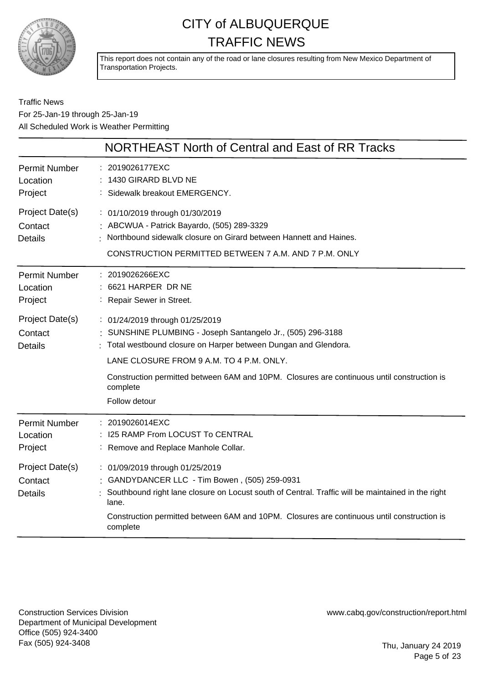

This report does not contain any of the road or lane closures resulting from New Mexico Department of Transportation Projects.

### Traffic News For 25-Jan-19 through 25-Jan-19 All Scheduled Work is Weather Permitting

|                                              | <b>NORTHEAST North of Central and East of RR Tracks</b>                                                                                                                                                                                                                                                  |
|----------------------------------------------|----------------------------------------------------------------------------------------------------------------------------------------------------------------------------------------------------------------------------------------------------------------------------------------------------------|
| <b>Permit Number</b><br>Location<br>Project  | : 2019026177EXC<br>: 1430 GIRARD BLVD NE<br>: Sidewalk breakout EMERGENCY.                                                                                                                                                                                                                               |
| Project Date(s)<br>Contact<br><b>Details</b> | : 01/10/2019 through 01/30/2019<br>: ABCWUA - Patrick Bayardo, (505) 289-3329<br>Northbound sidewalk closure on Girard between Hannett and Haines.<br>CONSTRUCTION PERMITTED BETWEEN 7 A.M. AND 7 P.M. ONLY                                                                                              |
| <b>Permit Number</b><br>Location<br>Project  | : 2019026266EXC<br>: 6621 HARPER DR NE<br>: Repair Sewer in Street.                                                                                                                                                                                                                                      |
| Project Date(s)<br>Contact<br><b>Details</b> | : 01/24/2019 through 01/25/2019<br>: SUNSHINE PLUMBING - Joseph Santangelo Jr., (505) 296-3188<br>: Total westbound closure on Harper between Dungan and Glendora.<br>LANE CLOSURE FROM 9 A.M. TO 4 P.M. ONLY.                                                                                           |
|                                              | Construction permitted between 6AM and 10PM. Closures are continuous until construction is<br>complete<br>Follow detour                                                                                                                                                                                  |
| <b>Permit Number</b><br>Location<br>Project  | : 2019026014EXC<br>: I25 RAMP From LOCUST To CENTRAL<br>: Remove and Replace Manhole Collar.                                                                                                                                                                                                             |
| Project Date(s)<br>Contact<br><b>Details</b> | : 01/09/2019 through 01/25/2019<br>: GANDYDANCER LLC - Tim Bowen, (505) 259-0931<br>Southbound right lane closure on Locust south of Central. Traffic will be maintained in the right<br>lane.<br>Construction permitted between 6AM and 10PM. Closures are continuous until construction is<br>complete |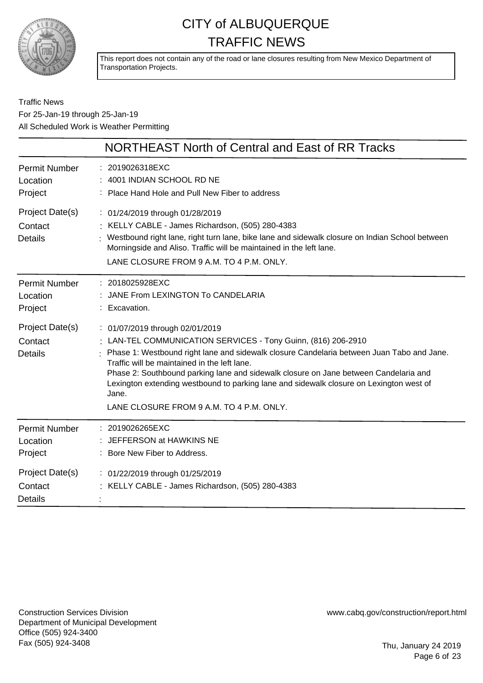

This report does not contain any of the road or lane closures resulting from New Mexico Department of Transportation Projects.

### Traffic News For 25-Jan-19 through 25-Jan-19 All Scheduled Work is Weather Permitting

|                                              | NORTHEAST North of Central and East of RR Tracks                                                                                                                                                                                                                                                                                                                                                                                                                                        |
|----------------------------------------------|-----------------------------------------------------------------------------------------------------------------------------------------------------------------------------------------------------------------------------------------------------------------------------------------------------------------------------------------------------------------------------------------------------------------------------------------------------------------------------------------|
| <b>Permit Number</b><br>Location<br>Project  | : 2019026318EXC<br>4001 INDIAN SCHOOL RD NE<br>: Place Hand Hole and Pull New Fiber to address                                                                                                                                                                                                                                                                                                                                                                                          |
| Project Date(s)<br>Contact<br><b>Details</b> | : 01/24/2019 through 01/28/2019<br>: KELLY CABLE - James Richardson, (505) 280-4383<br>Westbound right lane, right turn lane, bike lane and sidewalk closure on Indian School between<br>Morningside and Aliso. Traffic will be maintained in the left lane.<br>LANE CLOSURE FROM 9 A.M. TO 4 P.M. ONLY.                                                                                                                                                                                |
| <b>Permit Number</b><br>Location<br>Project  | : 2018025928EXC<br>JANE From LEXINGTON To CANDELARIA<br>: Excavation.                                                                                                                                                                                                                                                                                                                                                                                                                   |
| Project Date(s)<br>Contact<br><b>Details</b> | : 01/07/2019 through 02/01/2019<br>: LAN-TEL COMMUNICATION SERVICES - Tony Guinn, (816) 206-2910<br>: Phase 1: Westbound right lane and sidewalk closure Candelaria between Juan Tabo and Jane.<br>Traffic will be maintained in the left lane.<br>Phase 2: Southbound parking lane and sidewalk closure on Jane between Candelaria and<br>Lexington extending westbound to parking lane and sidewalk closure on Lexington west of<br>Jane.<br>LANE CLOSURE FROM 9 A.M. TO 4 P.M. ONLY. |
| Permit Number<br>Location<br>Project         | : 2019026265EXC<br>: JEFFERSON at HAWKINS NE<br>: Bore New Fiber to Address.                                                                                                                                                                                                                                                                                                                                                                                                            |
| Project Date(s)<br>Contact<br><b>Details</b> | : 01/22/2019 through 01/25/2019<br>: KELLY CABLE - James Richardson, (505) 280-4383                                                                                                                                                                                                                                                                                                                                                                                                     |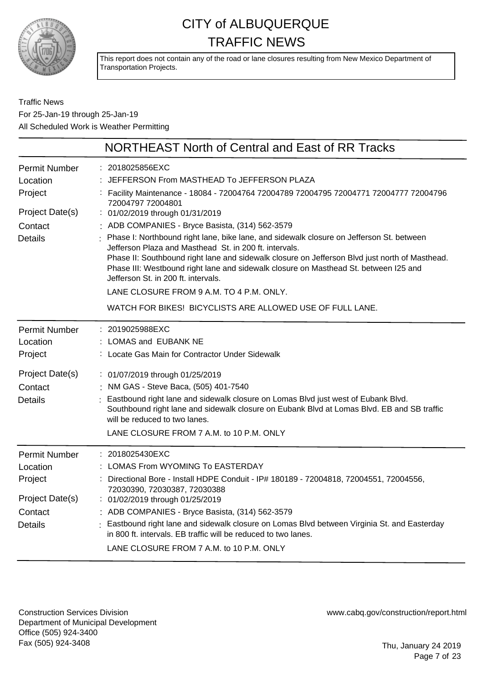

This report does not contain any of the road or lane closures resulting from New Mexico Department of Transportation Projects.

### Traffic News For 25-Jan-19 through 25-Jan-19 All Scheduled Work is Weather Permitting

|                                  | NORTHEAST North of Central and East of RR Tracks                                                                                                                                                                                                                                                                                                                                    |
|----------------------------------|-------------------------------------------------------------------------------------------------------------------------------------------------------------------------------------------------------------------------------------------------------------------------------------------------------------------------------------------------------------------------------------|
| <b>Permit Number</b><br>Location | 2018025856EXC<br>JEFFERSON From MASTHEAD To JEFFERSON PLAZA                                                                                                                                                                                                                                                                                                                         |
| Project                          | Facility Maintenance - 18084 - 72004764 72004789 72004795 72004771 72004777 72004796<br>72004797 72004801                                                                                                                                                                                                                                                                           |
| Project Date(s)                  | : 01/02/2019 through 01/31/2019                                                                                                                                                                                                                                                                                                                                                     |
| Contact                          | : ADB COMPANIES - Bryce Basista, (314) 562-3579                                                                                                                                                                                                                                                                                                                                     |
| <b>Details</b>                   | Phase I: Northbound right lane, bike lane, and sidewalk closure on Jefferson St. between<br>Jefferson Plaza and Masthead St. in 200 ft. intervals.<br>Phase II: Southbound right lane and sidewalk closure on Jefferson Blvd just north of Masthead.<br>Phase III: Westbound right lane and sidewalk closure on Masthead St. between I25 and<br>Jefferson St. in 200 ft. intervals. |
|                                  | LANE CLOSURE FROM 9 A.M. TO 4 P.M. ONLY.                                                                                                                                                                                                                                                                                                                                            |
|                                  | WATCH FOR BIKES! BICYCLISTS ARE ALLOWED USE OF FULL LANE.                                                                                                                                                                                                                                                                                                                           |
| <b>Permit Number</b>             | : 2019025988EXC                                                                                                                                                                                                                                                                                                                                                                     |
| Location                         | : LOMAS and EUBANK NE                                                                                                                                                                                                                                                                                                                                                               |
| Project                          | : Locate Gas Main for Contractor Under Sidewalk                                                                                                                                                                                                                                                                                                                                     |
| Project Date(s)                  | : 01/07/2019 through 01/25/2019                                                                                                                                                                                                                                                                                                                                                     |
| Contact                          | : NM GAS - Steve Baca, (505) 401-7540                                                                                                                                                                                                                                                                                                                                               |
| <b>Details</b>                   | Eastbound right lane and sidewalk closure on Lomas Blvd just west of Eubank Blvd.<br>Southbound right lane and sidewalk closure on Eubank Blvd at Lomas Blvd. EB and SB traffic<br>will be reduced to two lanes.                                                                                                                                                                    |
|                                  | LANE CLOSURE FROM 7 A.M. to 10 P.M. ONLY                                                                                                                                                                                                                                                                                                                                            |
| <b>Permit Number</b>             | : 2018025430EXC                                                                                                                                                                                                                                                                                                                                                                     |
| Location                         | LOMAS From WYOMING To EASTERDAY                                                                                                                                                                                                                                                                                                                                                     |
| Project                          | : Directional Bore - Install HDPE Conduit - IP# 180189 - 72004818, 72004551, 72004556,<br>72030390, 72030387, 72030388                                                                                                                                                                                                                                                              |
| Project Date(s)                  | 01/02/2019 through 01/25/2019                                                                                                                                                                                                                                                                                                                                                       |
| Contact                          | : ADB COMPANIES - Bryce Basista, (314) 562-3579                                                                                                                                                                                                                                                                                                                                     |
| <b>Details</b>                   | Eastbound right lane and sidewalk closure on Lomas Blvd between Virginia St. and Easterday<br>in 800 ft. intervals. EB traffic will be reduced to two lanes.<br>LANE CLOSURE FROM 7 A.M. to 10 P.M. ONLY                                                                                                                                                                            |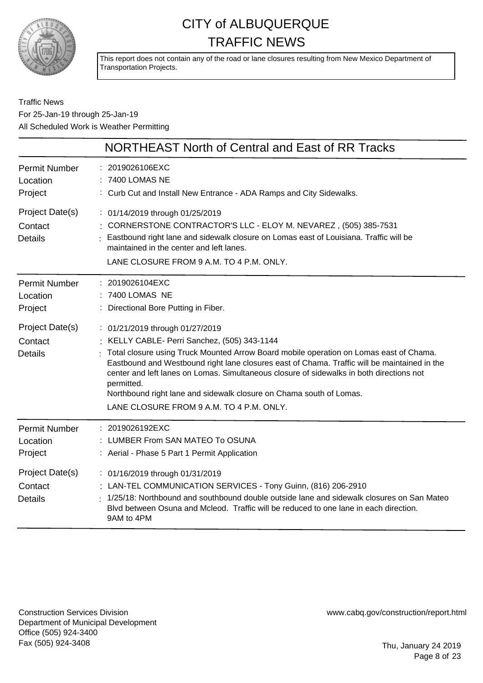

This report does not contain any of the road or lane closures resulting from New Mexico Department of Transportation Projects.

### Traffic News For 25-Jan-19 through 25-Jan-19 All Scheduled Work is Weather Permitting

|                                              | NORTHEAST North of Central and East of RR Tracks                                                                                                                                                                                                                                                                                                                                                                                                                                                       |
|----------------------------------------------|--------------------------------------------------------------------------------------------------------------------------------------------------------------------------------------------------------------------------------------------------------------------------------------------------------------------------------------------------------------------------------------------------------------------------------------------------------------------------------------------------------|
| <b>Permit Number</b><br>Location<br>Project  | : 2019026106EXC<br>: 7400 LOMAS NE<br>: Curb Cut and Install New Entrance - ADA Ramps and City Sidewalks.                                                                                                                                                                                                                                                                                                                                                                                              |
| Project Date(s)<br>Contact<br><b>Details</b> | : 01/14/2019 through 01/25/2019<br>: CORNERSTONE CONTRACTOR'S LLC - ELOY M. NEVAREZ, (505) 385-7531<br>Eastbound right lane and sidewalk closure on Lomas east of Louisiana. Traffic will be<br>maintained in the center and left lanes.<br>LANE CLOSURE FROM 9 A.M. TO 4 P.M. ONLY.                                                                                                                                                                                                                   |
| <b>Permit Number</b><br>Location<br>Project  | : 2019026104EXC<br>: 7400 LOMAS NE<br>Directional Bore Putting in Fiber.                                                                                                                                                                                                                                                                                                                                                                                                                               |
| Project Date(s)<br>Contact<br><b>Details</b> | : 01/21/2019 through 01/27/2019<br>: KELLY CABLE- Perri Sanchez, (505) 343-1144<br>Total closure using Truck Mounted Arrow Board mobile operation on Lomas east of Chama.<br>Eastbound and Westbound right lane closures east of Chama. Traffic will be maintained in the<br>center and left lanes on Lomas. Simultaneous closure of sidewalks in both directions not<br>permitted.<br>Northbound right lane and sidewalk closure on Chama south of Lomas.<br>LANE CLOSURE FROM 9 A.M. TO 4 P.M. ONLY. |
| <b>Permit Number</b><br>Location<br>Project  | : 2019026192EXC<br>: LUMBER From SAN MATEO To OSUNA<br>: Aerial - Phase 5 Part 1 Permit Application                                                                                                                                                                                                                                                                                                                                                                                                    |
| Project Date(s)<br>Contact<br><b>Details</b> | : 01/16/2019 through 01/31/2019<br>: LAN-TEL COMMUNICATION SERVICES - Tony Guinn, (816) 206-2910<br>1/25/18: Northbound and southbound double outside lane and sidewalk closures on San Mateo<br>Blyd between Osuna and Mcleod. Traffic will be reduced to one lane in each direction.<br>9AM to 4PM                                                                                                                                                                                                   |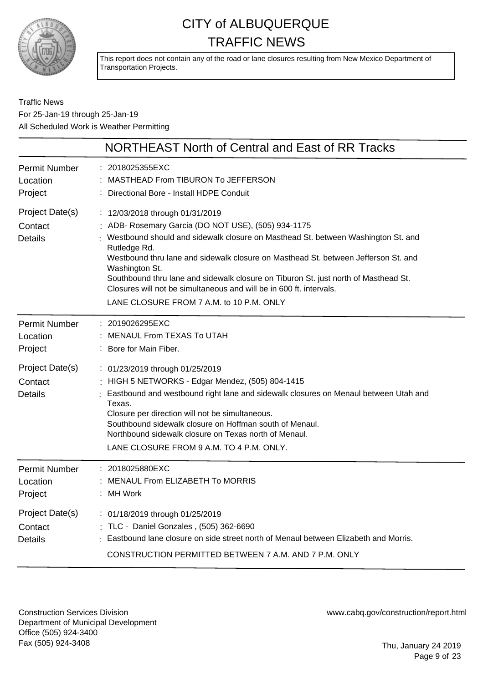

This report does not contain any of the road or lane closures resulting from New Mexico Department of Transportation Projects.

Traffic News For 25-Jan-19 through 25-Jan-19 All Scheduled Work is Weather Permitting

|                                              | NORTHEAST North of Central and East of RR Tracks                                                                                                                                                                                                                                                                                                                                                                                                                                                             |
|----------------------------------------------|--------------------------------------------------------------------------------------------------------------------------------------------------------------------------------------------------------------------------------------------------------------------------------------------------------------------------------------------------------------------------------------------------------------------------------------------------------------------------------------------------------------|
| <b>Permit Number</b><br>Location<br>Project  | : 2018025355EXC<br>MASTHEAD From TIBURON To JEFFERSON<br>Directional Bore - Install HDPE Conduit                                                                                                                                                                                                                                                                                                                                                                                                             |
| Project Date(s)<br>Contact<br><b>Details</b> | : 12/03/2018 through 01/31/2019<br>ADB- Rosemary Garcia (DO NOT USE), (505) 934-1175<br>: Westbound should and sidewalk closure on Masthead St. between Washington St. and<br>Rutledge Rd.<br>Westbound thru lane and sidewalk closure on Masthead St. between Jefferson St. and<br>Washington St.<br>Southbound thru lane and sidewalk closure on Tiburon St. just north of Masthead St.<br>Closures will not be simultaneous and will be in 600 ft. intervals.<br>LANE CLOSURE FROM 7 A.M. to 10 P.M. ONLY |
| Permit Number<br>Location<br>Project         | : 2019026295EXC<br><b>MENAUL From TEXAS To UTAH</b><br>: Bore for Main Fiber.                                                                                                                                                                                                                                                                                                                                                                                                                                |
| Project Date(s)<br>Contact<br><b>Details</b> | : 01/23/2019 through 01/25/2019<br>: HIGH 5 NETWORKS - Edgar Mendez, (505) 804-1415<br>Eastbound and westbound right lane and sidewalk closures on Menaul between Utah and<br>Texas.<br>Closure per direction will not be simultaneous.<br>Southbound sidewalk closure on Hoffman south of Menaul.<br>Northbound sidewalk closure on Texas north of Menaul.<br>LANE CLOSURE FROM 9 A.M. TO 4 P.M. ONLY.                                                                                                      |
| <b>Permit Number</b><br>Location<br>Project  | : 2018025880EXC<br>MENAUL From ELIZABETH To MORRIS<br>: MH Work                                                                                                                                                                                                                                                                                                                                                                                                                                              |
| Project Date(s)<br>Contact<br><b>Details</b> | : 01/18/2019 through 01/25/2019<br>: TLC - Daniel Gonzales, (505) 362-6690<br>Eastbound lane closure on side street north of Menaul between Elizabeth and Morris.<br>CONSTRUCTION PERMITTED BETWEEN 7 A.M. AND 7 P.M. ONLY                                                                                                                                                                                                                                                                                   |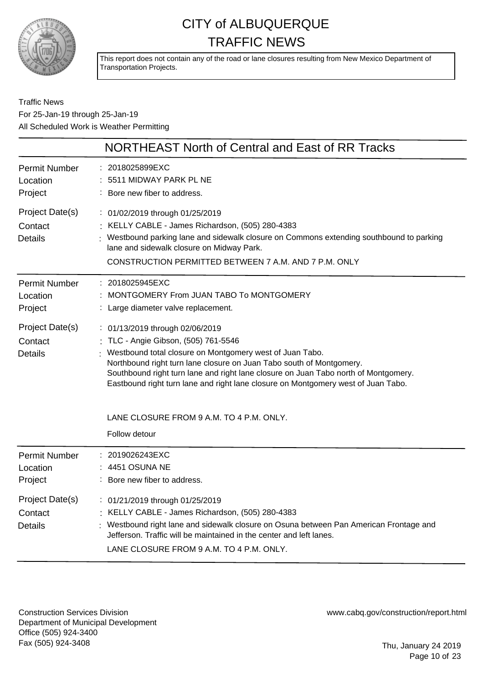

This report does not contain any of the road or lane closures resulting from New Mexico Department of Transportation Projects.

Traffic News For 25-Jan-19 through 25-Jan-19 All Scheduled Work is Weather Permitting

|                                              | NORTHEAST North of Central and East of RR Tracks                                                                                                                                                                                                                                                                                                                                        |
|----------------------------------------------|-----------------------------------------------------------------------------------------------------------------------------------------------------------------------------------------------------------------------------------------------------------------------------------------------------------------------------------------------------------------------------------------|
| <b>Permit Number</b><br>Location<br>Project  | 2018025899EXC<br>5511 MIDWAY PARK PL NE<br>: Bore new fiber to address.                                                                                                                                                                                                                                                                                                                 |
| Project Date(s)<br>Contact<br><b>Details</b> | : 01/02/2019 through 01/25/2019<br>: KELLY CABLE - James Richardson, (505) 280-4383<br>: Westbound parking lane and sidewalk closure on Commons extending southbound to parking<br>lane and sidewalk closure on Midway Park.<br>CONSTRUCTION PERMITTED BETWEEN 7 A.M. AND 7 P.M. ONLY                                                                                                   |
| <b>Permit Number</b><br>Location<br>Project  | : 2018025945EXC<br>MONTGOMERY From JUAN TABO To MONTGOMERY<br>: Large diameter valve replacement.                                                                                                                                                                                                                                                                                       |
| Project Date(s)<br>Contact<br><b>Details</b> | : 01/13/2019 through 02/06/2019<br>: TLC - Angie Gibson, (505) 761-5546<br>Westbound total closure on Montgomery west of Juan Tabo.<br>Northbound right turn lane closure on Juan Tabo south of Montgomery.<br>Southbound right turn lane and right lane closure on Juan Tabo north of Montgomery.<br>Eastbound right turn lane and right lane closure on Montgomery west of Juan Tabo. |
|                                              | LANE CLOSURE FROM 9 A.M. TO 4 P.M. ONLY.<br>Follow detour                                                                                                                                                                                                                                                                                                                               |
| <b>Permit Number</b><br>Location<br>Project  | 2019026243EXC<br>4451 OSUNA NE<br>: Bore new fiber to address.                                                                                                                                                                                                                                                                                                                          |
| Project Date(s)<br>Contact<br><b>Details</b> | : 01/21/2019 through 01/25/2019<br>: KELLY CABLE - James Richardson, (505) 280-4383<br>Westbound right lane and sidewalk closure on Osuna between Pan American Frontage and<br>Jefferson. Traffic will be maintained in the center and left lanes.<br>LANE CLOSURE FROM 9 A.M. TO 4 P.M. ONLY.                                                                                          |

Construction Services Division Department of Municipal Development Office (505) 924-3400 Fax (505) 924-3408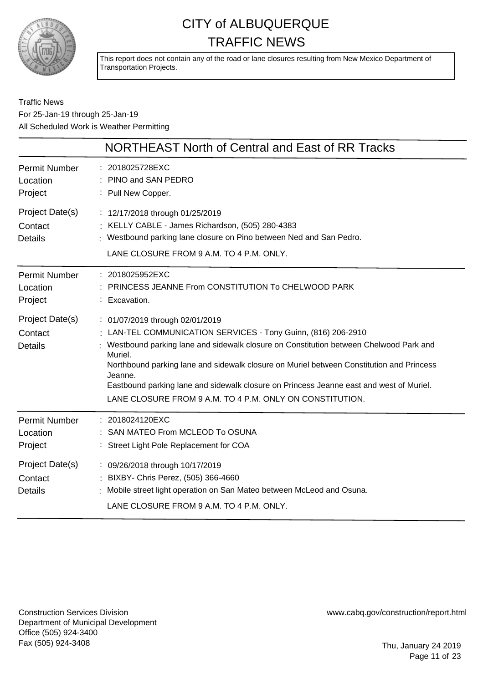

This report does not contain any of the road or lane closures resulting from New Mexico Department of Transportation Projects.

### Traffic News For 25-Jan-19 through 25-Jan-19 All Scheduled Work is Weather Permitting

|                                              | NORTHEAST North of Central and East of RR Tracks                                                                                                                                                                                                                                                                                                                                                                                                                   |
|----------------------------------------------|--------------------------------------------------------------------------------------------------------------------------------------------------------------------------------------------------------------------------------------------------------------------------------------------------------------------------------------------------------------------------------------------------------------------------------------------------------------------|
| <b>Permit Number</b><br>Location<br>Project  | : 2018025728EXC<br>: PINO and SAN PEDRO<br>: Pull New Copper.                                                                                                                                                                                                                                                                                                                                                                                                      |
| Project Date(s)<br>Contact<br><b>Details</b> | : 12/17/2018 through 01/25/2019<br>: KELLY CABLE - James Richardson, (505) 280-4383<br>: Westbound parking lane closure on Pino between Ned and San Pedro.<br>LANE CLOSURE FROM 9 A.M. TO 4 P.M. ONLY.                                                                                                                                                                                                                                                             |
| <b>Permit Number</b><br>Location<br>Project  | : 2018025952EXC<br>PRINCESS JEANNE From CONSTITUTION To CHELWOOD PARK<br>: Excavation.                                                                                                                                                                                                                                                                                                                                                                             |
| Project Date(s)<br>Contact<br><b>Details</b> | : 01/07/2019 through 02/01/2019<br>: LAN-TEL COMMUNICATION SERVICES - Tony Guinn, (816) 206-2910<br>Westbound parking lane and sidewalk closure on Constitution between Chelwood Park and<br>Muriel.<br>Northbound parking lane and sidewalk closure on Muriel between Constitution and Princess<br>Jeanne.<br>Eastbound parking lane and sidewalk closure on Princess Jeanne east and west of Muriel.<br>LANE CLOSURE FROM 9 A.M. TO 4 P.M. ONLY ON CONSTITUTION. |
| <b>Permit Number</b><br>Location<br>Project  | : 2018024120EXC<br>SAN MATEO From MCLEOD To OSUNA<br>: Street Light Pole Replacement for COA                                                                                                                                                                                                                                                                                                                                                                       |
| Project Date(s)<br>Contact<br><b>Details</b> | : 09/26/2018 through 10/17/2019<br>: BIXBY- Chris Perez, (505) 366-4660<br>Mobile street light operation on San Mateo between McLeod and Osuna.<br>LANE CLOSURE FROM 9 A.M. TO 4 P.M. ONLY.                                                                                                                                                                                                                                                                        |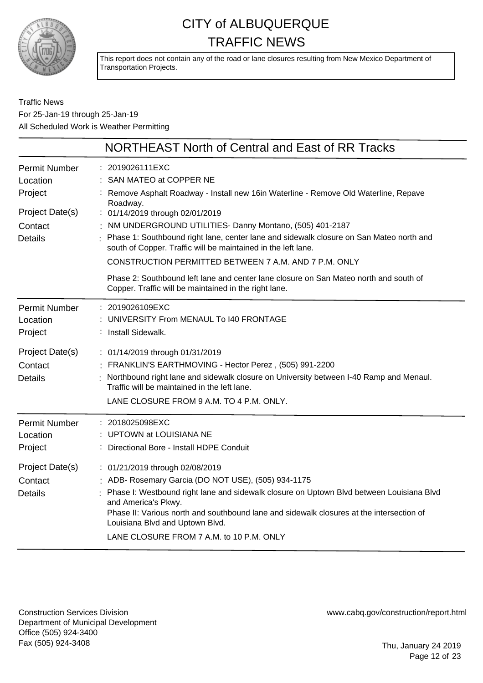

This report does not contain any of the road or lane closures resulting from New Mexico Department of Transportation Projects.

Traffic News For 25-Jan-19 through 25-Jan-19 All Scheduled Work is Weather Permitting

|                                                                                             | NORTHEAST North of Central and East of RR Tracks                                                                                                                                                                                                                                                                                                                                                                                                                   |
|---------------------------------------------------------------------------------------------|--------------------------------------------------------------------------------------------------------------------------------------------------------------------------------------------------------------------------------------------------------------------------------------------------------------------------------------------------------------------------------------------------------------------------------------------------------------------|
| <b>Permit Number</b><br>Location<br>Project<br>Project Date(s)<br>Contact<br><b>Details</b> | : 2019026111EXC<br>: SAN MATEO at COPPER NE<br>Remove Asphalt Roadway - Install new 16in Waterline - Remove Old Waterline, Repave<br>Roadway.<br>: 01/14/2019 through 02/01/2019<br>: NM UNDERGROUND UTILITIES- Danny Montano, (505) 401-2187<br>Phase 1: Southbound right lane, center lane and sidewalk closure on San Mateo north and<br>south of Copper. Traffic will be maintained in the left lane.<br>CONSTRUCTION PERMITTED BETWEEN 7 A.M. AND 7 P.M. ONLY |
|                                                                                             | Phase 2: Southbound left lane and center lane closure on San Mateo north and south of<br>Copper. Traffic will be maintained in the right lane.                                                                                                                                                                                                                                                                                                                     |
| <b>Permit Number</b><br>Location<br>Project                                                 | : 2019026109EXC<br>UNIVERSITY From MENAUL To 140 FRONTAGE<br>Install Sidewalk.                                                                                                                                                                                                                                                                                                                                                                                     |
| Project Date(s)<br>Contact<br><b>Details</b>                                                | : 01/14/2019 through 01/31/2019<br>FRANKLIN'S EARTHMOVING - Hector Perez, (505) 991-2200<br>Northbound right lane and sidewalk closure on University between I-40 Ramp and Menaul.<br>Traffic will be maintained in the left lane.<br>LANE CLOSURE FROM 9 A.M. TO 4 P.M. ONLY.                                                                                                                                                                                     |
| <b>Permit Number</b><br>Location<br>Project                                                 | 2018025098EXC<br>: UPTOWN at LOUISIANA NE<br>Directional Bore - Install HDPE Conduit                                                                                                                                                                                                                                                                                                                                                                               |
| Project Date(s)<br>Contact<br><b>Details</b>                                                | : 01/21/2019 through 02/08/2019<br>: ADB- Rosemary Garcia (DO NOT USE), (505) 934-1175<br>Phase I: Westbound right lane and sidewalk closure on Uptown Blvd between Louisiana Blvd<br>and America's Pkwy.<br>Phase II: Various north and southbound lane and sidewalk closures at the intersection of<br>Louisiana Blvd and Uptown Blvd.<br>LANE CLOSURE FROM 7 A.M. to 10 P.M. ONLY                                                                               |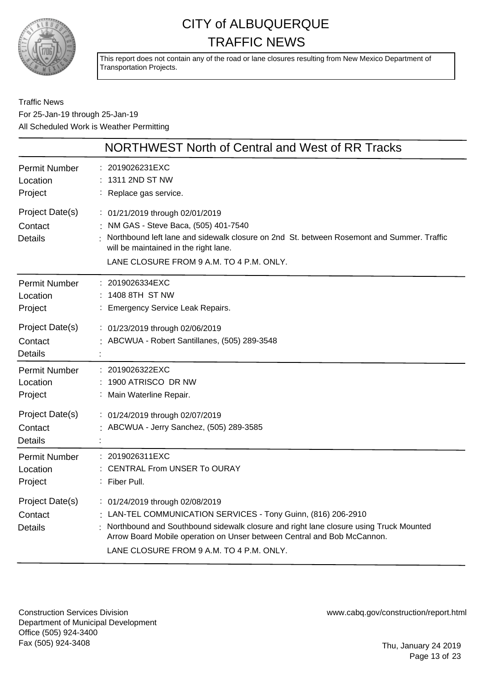

This report does not contain any of the road or lane closures resulting from New Mexico Department of Transportation Projects.

### Traffic News For 25-Jan-19 through 25-Jan-19 All Scheduled Work is Weather Permitting

|                                                                                             | NORTHWEST North of Central and West of RR Tracks                                                                                                                                                                                                                                                                 |
|---------------------------------------------------------------------------------------------|------------------------------------------------------------------------------------------------------------------------------------------------------------------------------------------------------------------------------------------------------------------------------------------------------------------|
| <b>Permit Number</b><br>Location<br>Project                                                 | : 2019026231EXC<br>1311 2ND ST NW<br>: Replace gas service.                                                                                                                                                                                                                                                      |
| Project Date(s)<br>Contact<br><b>Details</b>                                                | : 01/21/2019 through 02/01/2019<br>NM GAS - Steve Baca, (505) 401-7540<br>Northbound left lane and sidewalk closure on 2nd St. between Rosemont and Summer. Traffic<br>will be maintained in the right lane.<br>LANE CLOSURE FROM 9 A.M. TO 4 P.M. ONLY.                                                         |
| <b>Permit Number</b><br>Location<br>Project                                                 | : 2019026334EXC<br>: 1408 8TH ST NW<br>: Emergency Service Leak Repairs.                                                                                                                                                                                                                                         |
| Project Date(s)<br>Contact<br><b>Details</b>                                                | : 01/23/2019 through 02/06/2019<br>: ABCWUA - Robert Santillanes, (505) 289-3548                                                                                                                                                                                                                                 |
| <b>Permit Number</b><br>Location<br>Project<br>Project Date(s)<br>Contact<br><b>Details</b> | : 2019026322EXC<br>1900 ATRISCO DR NW<br>: Main Waterline Repair.<br>: 01/24/2019 through 02/07/2019<br>: ABCWUA - Jerry Sanchez, (505) 289-3585                                                                                                                                                                 |
| <b>Permit Number</b><br>Location<br>Project                                                 | : 2019026311EXC<br>: CENTRAL From UNSER To OURAY<br>: Fiber Pull.                                                                                                                                                                                                                                                |
| Project Date(s)<br>Contact<br><b>Details</b>                                                | : 01/24/2019 through 02/08/2019<br>: LAN-TEL COMMUNICATION SERVICES - Tony Guinn, (816) 206-2910<br>Northbound and Southbound sidewalk closure and right lane closure using Truck Mounted<br>Arrow Board Mobile operation on Unser between Central and Bob McCannon.<br>LANE CLOSURE FROM 9 A.M. TO 4 P.M. ONLY. |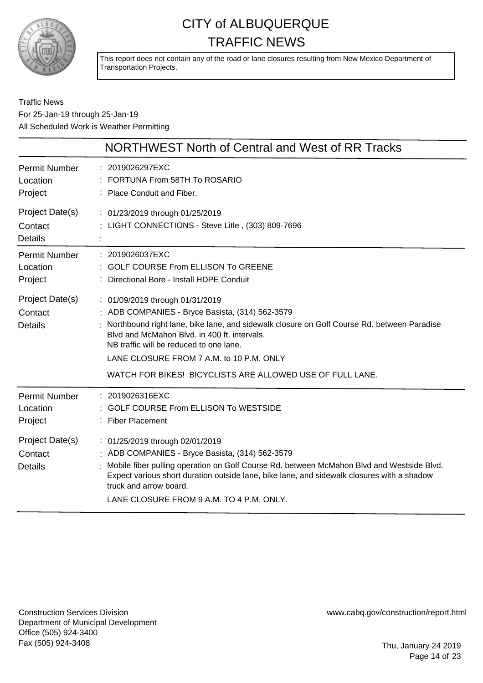

This report does not contain any of the road or lane closures resulting from New Mexico Department of Transportation Projects.

### Traffic News For 25-Jan-19 through 25-Jan-19 All Scheduled Work is Weather Permitting

|                                              | NORTHWEST North of Central and West of RR Tracks                                                                                                                                                                                                                                                                                                    |
|----------------------------------------------|-----------------------------------------------------------------------------------------------------------------------------------------------------------------------------------------------------------------------------------------------------------------------------------------------------------------------------------------------------|
| <b>Permit Number</b><br>Location<br>Project  | : 2019026297EXC<br>: FORTUNA From 58TH To ROSARIO<br>: Place Conduit and Fiber.                                                                                                                                                                                                                                                                     |
| Project Date(s)<br>Contact<br><b>Details</b> | : 01/23/2019 through 01/25/2019<br>: LIGHT CONNECTIONS - Steve Litle, (303) 809-7696                                                                                                                                                                                                                                                                |
| <b>Permit Number</b><br>Location<br>Project  | : 2019026037EXC<br>: GOLF COURSE From ELLISON To GREENE<br>: Directional Bore - Install HDPE Conduit                                                                                                                                                                                                                                                |
| Project Date(s)<br>Contact<br><b>Details</b> | : 01/09/2019 through 01/31/2019<br>: ADB COMPANIES - Bryce Basista, (314) 562-3579<br>Northbound right lane, bike lane, and sidewalk closure on Golf Course Rd. between Paradise<br>Blyd and McMahon Blyd. in 400 ft. intervals.<br>NB traffic will be reduced to one lane.<br>LANE CLOSURE FROM 7 A.M. to 10 P.M. ONLY                             |
| Permit Number<br>Location<br>Project         | WATCH FOR BIKES! BICYCLISTS ARE ALLOWED USE OF FULL LANE.<br>: 2019026316EXC<br><b>GOLF COURSE From ELLISON To WESTSIDE</b><br>: Fiber Placement                                                                                                                                                                                                    |
| Project Date(s)<br>Contact<br><b>Details</b> | : 01/25/2019 through 02/01/2019<br>: ADB COMPANIES - Bryce Basista, (314) 562-3579<br>Mobile fiber pulling operation on Golf Course Rd. between McMahon Blvd and Westside Blvd.<br>Expect various short duration outside lane, bike lane, and sidewalk closures with a shadow<br>truck and arrow board.<br>LANE CLOSURE FROM 9 A.M. TO 4 P.M. ONLY. |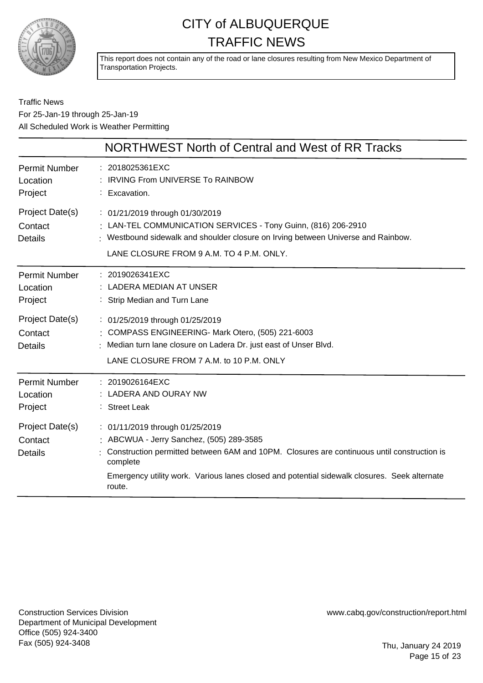

This report does not contain any of the road or lane closures resulting from New Mexico Department of Transportation Projects.

### Traffic News For 25-Jan-19 through 25-Jan-19 All Scheduled Work is Weather Permitting

|                                              | NORTHWEST North of Central and West of RR Tracks                                                                                                                                                                                                                                                |
|----------------------------------------------|-------------------------------------------------------------------------------------------------------------------------------------------------------------------------------------------------------------------------------------------------------------------------------------------------|
| Permit Number<br>Location<br>Project         | : 2018025361EXC<br><b>IRVING From UNIVERSE To RAINBOW</b><br>: Excavation.                                                                                                                                                                                                                      |
| Project Date(s)<br>Contact<br><b>Details</b> | : 01/21/2019 through 01/30/2019<br>: LAN-TEL COMMUNICATION SERVICES - Tony Guinn, (816) 206-2910<br>: Westbound sidewalk and shoulder closure on Irving between Universe and Rainbow.<br>LANE CLOSURE FROM 9 A.M. TO 4 P.M. ONLY.                                                               |
| <b>Permit Number</b><br>Location<br>Project  | : 2019026341EXC<br>LADERA MEDIAN AT UNSER<br>Strip Median and Turn Lane                                                                                                                                                                                                                         |
| Project Date(s)<br>Contact<br><b>Details</b> | : 01/25/2019 through 01/25/2019<br>: COMPASS ENGINEERING- Mark Otero, (505) 221-6003<br>: Median turn lane closure on Ladera Dr. just east of Unser Blvd.<br>LANE CLOSURE FROM 7 A.M. to 10 P.M. ONLY                                                                                           |
| Permit Number<br>Location<br>Project         | : 2019026164EXC<br><b>LADERA AND OURAY NW</b><br>: Street Leak                                                                                                                                                                                                                                  |
| Project Date(s)<br>Contact<br><b>Details</b> | : 01/11/2019 through 01/25/2019<br>: ABCWUA - Jerry Sanchez, (505) 289-3585<br>Construction permitted between 6AM and 10PM. Closures are continuous until construction is<br>complete<br>Emergency utility work. Various lanes closed and potential sidewalk closures. Seek alternate<br>route. |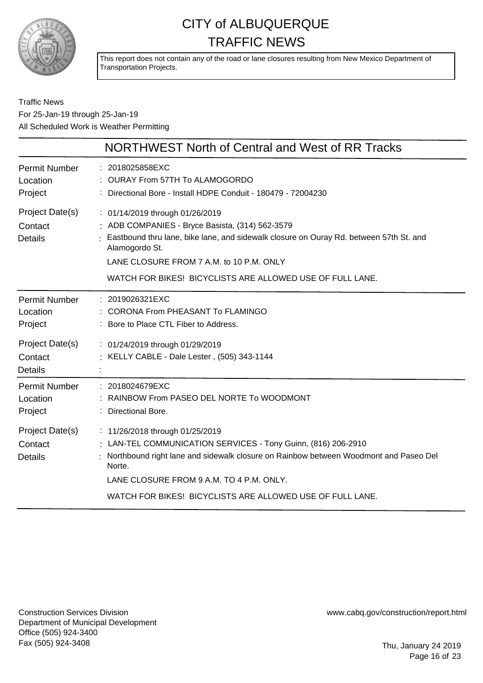

This report does not contain any of the road or lane closures resulting from New Mexico Department of Transportation Projects.

### Traffic News For 25-Jan-19 through 25-Jan-19 All Scheduled Work is Weather Permitting

|                                              | NORTHWEST North of Central and West of RR Tracks                                                                                                                                                                                                                                                          |
|----------------------------------------------|-----------------------------------------------------------------------------------------------------------------------------------------------------------------------------------------------------------------------------------------------------------------------------------------------------------|
| <b>Permit Number</b><br>Location<br>Project  | : 2018025858EXC<br>: OURAY From 57TH To ALAMOGORDO<br>: Directional Bore - Install HDPE Conduit - 180479 - 72004230                                                                                                                                                                                       |
| Project Date(s)<br>Contact<br><b>Details</b> | : 01/14/2019 through 01/26/2019<br>: ADB COMPANIES - Bryce Basista, (314) 562-3579<br>Eastbound thru lane, bike lane, and sidewalk closure on Ouray Rd. between 57th St. and<br>Alamogordo St.<br>LANE CLOSURE FROM 7 A.M. to 10 P.M. ONLY<br>WATCH FOR BIKES! BICYCLISTS ARE ALLOWED USE OF FULL LANE.   |
| <b>Permit Number</b><br>Location<br>Project  | : 2019026321EXC<br>: CORONA From PHEASANT To FLAMINGO<br>: Bore to Place CTL Fiber to Address.                                                                                                                                                                                                            |
| Project Date(s)<br>Contact<br><b>Details</b> | : 01/24/2019 through 01/29/2019<br>: KELLY CABLE - Dale Lester, (505) 343-1144                                                                                                                                                                                                                            |
| <b>Permit Number</b><br>Location<br>Project  | : 2018024679EXC<br>RAINBOW From PASEO DEL NORTE To WOODMONT<br>: Directional Bore.                                                                                                                                                                                                                        |
| Project Date(s)<br>Contact<br><b>Details</b> | : 11/26/2018 through 01/25/2019<br>LAN-TEL COMMUNICATION SERVICES - Tony Guinn, (816) 206-2910<br>Northbound right lane and sidewalk closure on Rainbow between Woodmont and Paseo Del<br>Norte.<br>LANE CLOSURE FROM 9 A.M. TO 4 P.M. ONLY.<br>WATCH FOR BIKES! BICYCLISTS ARE ALLOWED USE OF FULL LANE. |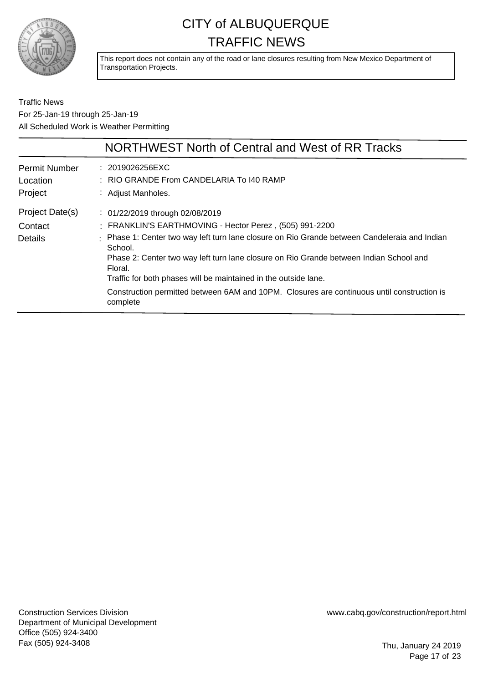

This report does not contain any of the road or lane closures resulting from New Mexico Department of Transportation Projects.

Traffic News For 25-Jan-19 through 25-Jan-19 All Scheduled Work is Weather Permitting

|                                              | NORTHWEST North of Central and West of RR Tracks                                                                                                                                                                                                                                                                                                                                                                                                                                     |
|----------------------------------------------|--------------------------------------------------------------------------------------------------------------------------------------------------------------------------------------------------------------------------------------------------------------------------------------------------------------------------------------------------------------------------------------------------------------------------------------------------------------------------------------|
| <b>Permit Number</b><br>Location<br>Project  | : 2019026256EXC<br>: RIO GRANDE From CANDELARIA To 140 RAMP<br>: Adjust Manholes.                                                                                                                                                                                                                                                                                                                                                                                                    |
| Project Date(s)<br>Contact<br><b>Details</b> | : 01/22/2019 through 02/08/2019<br>FRANKLIN'S EARTHMOVING - Hector Perez, (505) 991-2200<br>Phase 1: Center two way left turn lane closure on Rio Grande between Candeleraia and Indian<br>School.<br>Phase 2: Center two way left turn lane closure on Rio Grande between Indian School and<br>Floral.<br>Traffic for both phases will be maintained in the outside lane.<br>Construction permitted between 6AM and 10PM. Closures are continuous until construction is<br>complete |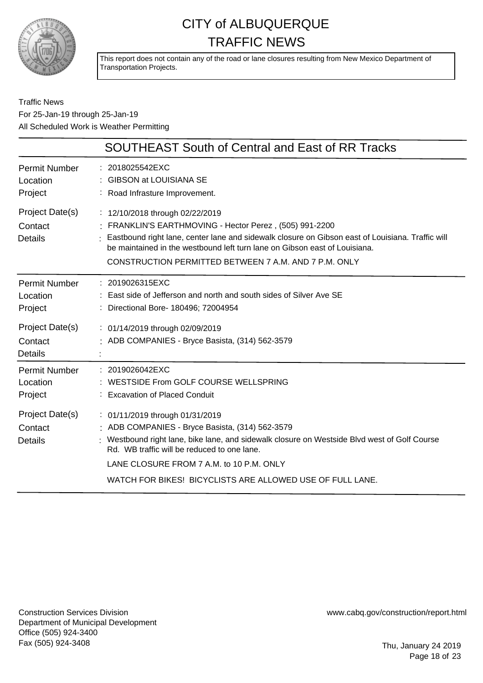

This report does not contain any of the road or lane closures resulting from New Mexico Department of Transportation Projects.

Traffic News For 25-Jan-19 through 25-Jan-19 All Scheduled Work is Weather Permitting

|                                              | <b>SOUTHEAST South of Central and East of RR Tracks</b>                                                                                                                                                                                                                                                                                    |
|----------------------------------------------|--------------------------------------------------------------------------------------------------------------------------------------------------------------------------------------------------------------------------------------------------------------------------------------------------------------------------------------------|
| <b>Permit Number</b><br>Location<br>Project  | : 2018025542EXC<br>: GIBSON at LOUISIANA SE<br>: Road Infrasture Improvement.                                                                                                                                                                                                                                                              |
| Project Date(s)<br>Contact<br>Details        | : 12/10/2018 through 02/22/2019<br>: FRANKLIN'S EARTHMOVING - Hector Perez, (505) 991-2200<br>Eastbound right lane, center lane and sidewalk closure on Gibson east of Louisiana. Traffic will<br>be maintained in the westbound left turn lane on Gibson east of Louisiana.<br>CONSTRUCTION PERMITTED BETWEEN 7 A.M. AND 7 P.M. ONLY      |
| <b>Permit Number</b><br>Location<br>Project  | : 2019026315EXC<br>East side of Jefferson and north and south sides of Silver Ave SE<br>: Directional Bore- 180496; 72004954                                                                                                                                                                                                               |
| Project Date(s)<br>Contact<br><b>Details</b> | : 01/14/2019 through 02/09/2019<br>: ADB COMPANIES - Bryce Basista, (314) 562-3579                                                                                                                                                                                                                                                         |
| <b>Permit Number</b><br>Location<br>Project  | : 2019026042EXC<br>: WESTSIDE From GOLF COURSE WELLSPRING<br>: Excavation of Placed Conduit                                                                                                                                                                                                                                                |
| Project Date(s)<br>Contact<br><b>Details</b> | : 01/11/2019 through 01/31/2019<br>: ADB COMPANIES - Bryce Basista, (314) 562-3579<br>: Westbound right lane, bike lane, and sidewalk closure on Westside Blvd west of Golf Course<br>Rd. WB traffic will be reduced to one lane.<br>LANE CLOSURE FROM 7 A.M. to 10 P.M. ONLY<br>WATCH FOR BIKES! BICYCLISTS ARE ALLOWED USE OF FULL LANE. |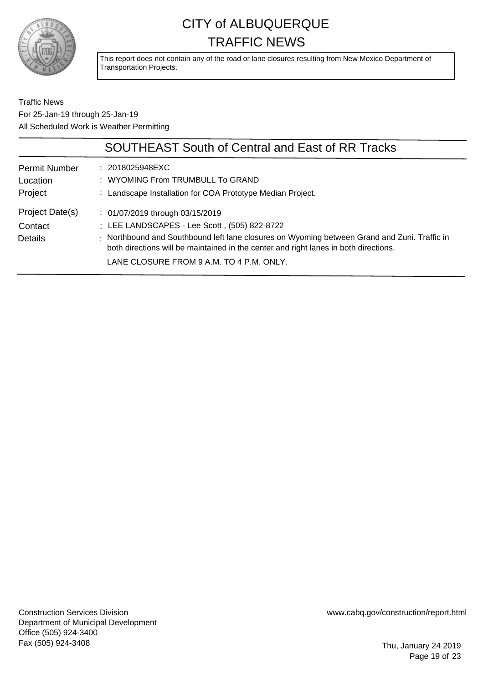

This report does not contain any of the road or lane closures resulting from New Mexico Department of Transportation Projects.

Traffic News For 25-Jan-19 through 25-Jan-19 All Scheduled Work is Weather Permitting

|                                              | <b>SOUTHEAST South of Central and East of RR Tracks</b>                                                                                                                                                                                                                                                             |
|----------------------------------------------|---------------------------------------------------------------------------------------------------------------------------------------------------------------------------------------------------------------------------------------------------------------------------------------------------------------------|
| <b>Permit Number</b><br>Location             | $: 2018025948 \text{EXC}$<br>: WYOMING From TRUMBULL To GRAND                                                                                                                                                                                                                                                       |
| Project                                      | : Landscape Installation for COA Prototype Median Project.                                                                                                                                                                                                                                                          |
| Project Date(s)<br>Contact<br><b>Details</b> | : 01/07/2019 through 03/15/2019<br>: LEE LANDSCAPES - Lee Scott, (505) 822-8722<br>: Northbound and Southbound left lane closures on Wyoming between Grand and Zuni. Traffic in<br>both directions will be maintained in the center and right lanes in both directions.<br>LANE CLOSURE FROM 9 A.M. TO 4 P.M. ONLY. |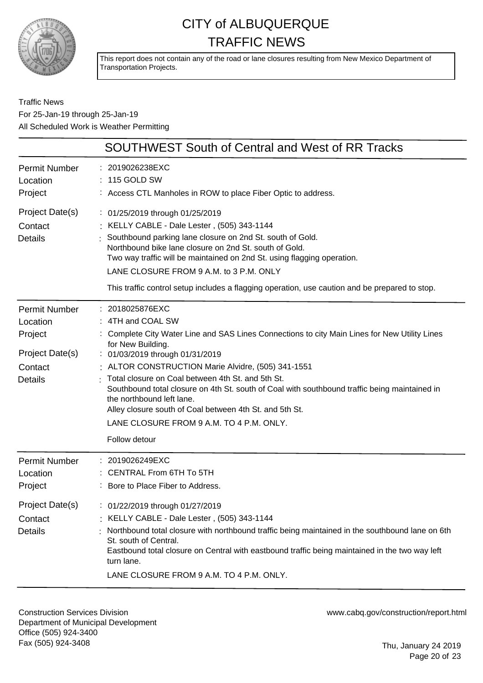

This report does not contain any of the road or lane closures resulting from New Mexico Department of Transportation Projects.

### Traffic News For 25-Jan-19 through 25-Jan-19 All Scheduled Work is Weather Permitting

|                                                                                             | SOUTHWEST South of Central and West of RR Tracks                                                                                                                                                                                                                                                                                                                                                                                                                                                                                                           |
|---------------------------------------------------------------------------------------------|------------------------------------------------------------------------------------------------------------------------------------------------------------------------------------------------------------------------------------------------------------------------------------------------------------------------------------------------------------------------------------------------------------------------------------------------------------------------------------------------------------------------------------------------------------|
| <b>Permit Number</b><br>Location<br>Project                                                 | 2019026238EXC<br>115 GOLD SW<br>: Access CTL Manholes in ROW to place Fiber Optic to address.                                                                                                                                                                                                                                                                                                                                                                                                                                                              |
| Project Date(s)<br>Contact<br><b>Details</b>                                                | : 01/25/2019 through 01/25/2019<br>: KELLY CABLE - Dale Lester, (505) 343-1144<br>Southbound parking lane closure on 2nd St. south of Gold.<br>Northbound bike lane closure on 2nd St. south of Gold.<br>Two way traffic will be maintained on 2nd St. using flagging operation.<br>LANE CLOSURE FROM 9 A.M. to 3 P.M. ONLY<br>This traffic control setup includes a flagging operation, use caution and be prepared to stop.                                                                                                                              |
| <b>Permit Number</b><br>Location<br>Project<br>Project Date(s)<br>Contact<br><b>Details</b> | 2018025876EXC<br>: 4TH and COAL SW<br>Complete City Water Line and SAS Lines Connections to city Main Lines for New Utility Lines<br>for New Building.<br>: 01/03/2019 through 01/31/2019<br>: ALTOR CONSTRUCTION Marie Alvidre, (505) 341-1551<br>Total closure on Coal between 4th St. and 5th St.<br>Southbound total closure on 4th St. south of Coal with southbound traffic being maintained in<br>the northbound left lane.<br>Alley closure south of Coal between 4th St. and 5th St.<br>LANE CLOSURE FROM 9 A.M. TO 4 P.M. ONLY.<br>Follow detour |
| <b>Permit Number</b><br>Location<br>Project                                                 | : 2019026249EXC<br><b>CENTRAL From 6TH To 5TH</b><br>: Bore to Place Fiber to Address.                                                                                                                                                                                                                                                                                                                                                                                                                                                                     |
| Project Date(s)<br>Contact<br><b>Details</b>                                                | : 01/22/2019 through 01/27/2019<br>: KELLY CABLE - Dale Lester, (505) 343-1144<br>Northbound total closure with northbound traffic being maintained in the southbound lane on 6th<br>St. south of Central.<br>Eastbound total closure on Central with eastbound traffic being maintained in the two way left<br>turn lane.<br>LANE CLOSURE FROM 9 A.M. TO 4 P.M. ONLY.                                                                                                                                                                                     |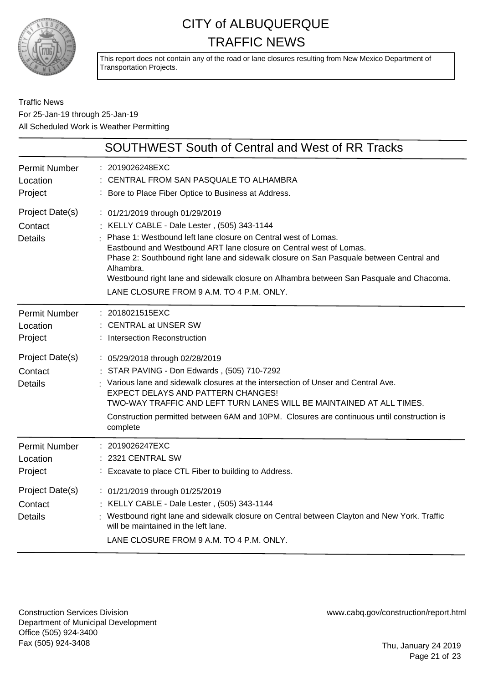

This report does not contain any of the road or lane closures resulting from New Mexico Department of Transportation Projects.

### Traffic News For 25-Jan-19 through 25-Jan-19 All Scheduled Work is Weather Permitting

|                                                                                             | <b>SOUTHWEST South of Central and West of RR Tracks</b>                                                                                                                                                                                                                                                                                                                                                                                                                 |
|---------------------------------------------------------------------------------------------|-------------------------------------------------------------------------------------------------------------------------------------------------------------------------------------------------------------------------------------------------------------------------------------------------------------------------------------------------------------------------------------------------------------------------------------------------------------------------|
| <b>Permit Number</b><br>Location<br>Project                                                 | 2019026248EXC<br>CENTRAL FROM SAN PASQUALE TO ALHAMBRA<br>Bore to Place Fiber Optice to Business at Address.                                                                                                                                                                                                                                                                                                                                                            |
| Project Date(s)<br>Contact<br><b>Details</b>                                                | : 01/21/2019 through 01/29/2019<br>: KELLY CABLE - Dale Lester, (505) 343-1144<br>Phase 1: Westbound left lane closure on Central west of Lomas.<br>Eastbound and Westbound ART lane closure on Central west of Lomas.<br>Phase 2: Southbound right lane and sidewalk closure on San Pasquale between Central and<br>Alhambra.<br>Westbound right lane and sidewalk closure on Alhambra between San Pasquale and Chacoma.<br>LANE CLOSURE FROM 9 A.M. TO 4 P.M. ONLY.   |
| <b>Permit Number</b><br>Location<br>Project<br>Project Date(s)<br>Contact<br><b>Details</b> | : 2018021515EXC<br>: CENTRAL at UNSER SW<br>: Intersection Reconstruction<br>: 05/29/2018 through 02/28/2019<br>STAR PAVING - Don Edwards, (505) 710-7292<br>: Various lane and sidewalk closures at the intersection of Unser and Central Ave.<br>EXPECT DELAYS AND PATTERN CHANGES!<br>TWO-WAY TRAFFIC AND LEFT TURN LANES WILL BE MAINTAINED AT ALL TIMES.<br>Construction permitted between 6AM and 10PM. Closures are continuous until construction is<br>complete |
| <b>Permit Number</b><br>Location<br>Project                                                 | : 2019026247EXC<br>2321 CENTRAL SW<br>: Excavate to place CTL Fiber to building to Address.                                                                                                                                                                                                                                                                                                                                                                             |
| Project Date(s)<br>Contact<br><b>Details</b>                                                | : 01/21/2019 through 01/25/2019<br>: KELLY CABLE - Dale Lester, (505) 343-1144<br>: Westbound right lane and sidewalk closure on Central between Clayton and New York. Traffic<br>will be maintained in the left lane.<br>LANE CLOSURE FROM 9 A.M. TO 4 P.M. ONLY.                                                                                                                                                                                                      |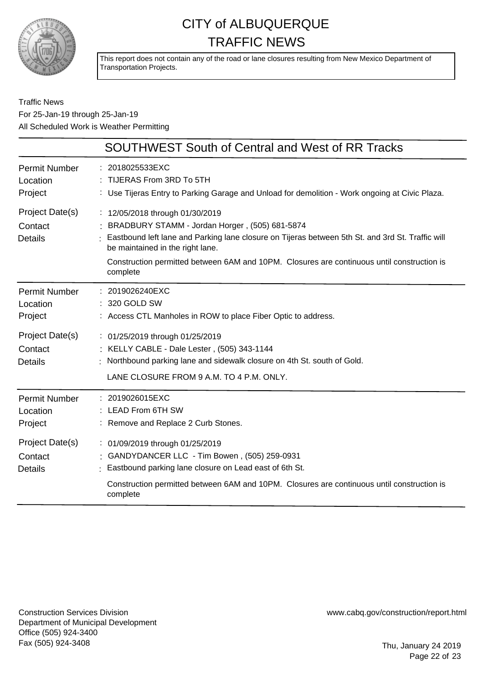

This report does not contain any of the road or lane closures resulting from New Mexico Department of Transportation Projects.

Traffic News For 25-Jan-19 through 25-Jan-19 All Scheduled Work is Weather Permitting

|                                              | <b>SOUTHWEST South of Central and West of RR Tracks</b>                                                                                                                                                                                                                                                                                 |
|----------------------------------------------|-----------------------------------------------------------------------------------------------------------------------------------------------------------------------------------------------------------------------------------------------------------------------------------------------------------------------------------------|
| Permit Number<br>Location<br>Project         | : 2018025533EXC<br>: TIJERAS From 3RD To 5TH<br>: Use Tijeras Entry to Parking Garage and Unload for demolition - Work ongoing at Civic Plaza.                                                                                                                                                                                          |
| Project Date(s)<br>Contact<br>Details        | : 12/05/2018 through 01/30/2019<br>: BRADBURY STAMM - Jordan Horger, (505) 681-5874<br>: Eastbound left lane and Parking lane closure on Tijeras between 5th St. and 3rd St. Traffic will<br>be maintained in the right lane.<br>Construction permitted between 6AM and 10PM. Closures are continuous until construction is<br>complete |
| Permit Number<br>Location<br>Project         | : 2019026240EXC<br>: 320 GOLD SW<br>: Access CTL Manholes in ROW to place Fiber Optic to address.                                                                                                                                                                                                                                       |
| Project Date(s)<br>Contact<br><b>Details</b> | : 01/25/2019 through 01/25/2019<br>: KELLY CABLE - Dale Lester, (505) 343-1144<br>: Northbound parking lane and sidewalk closure on 4th St. south of Gold.<br>LANE CLOSURE FROM 9 A.M. TO 4 P.M. ONLY.                                                                                                                                  |
| <b>Permit Number</b><br>Location<br>Project  | : 2019026015EXC<br>: LEAD From 6TH SW<br>: Remove and Replace 2 Curb Stones.                                                                                                                                                                                                                                                            |
| Project Date(s)<br>Contact<br><b>Details</b> | : 01/09/2019 through 01/25/2019<br>: GANDYDANCER LLC - Tim Bowen, (505) 259-0931<br>Eastbound parking lane closure on Lead east of 6th St.<br>Construction permitted between 6AM and 10PM. Closures are continuous until construction is<br>complete                                                                                    |

Construction Services Division Department of Municipal Development Office (505) 924-3400 Fax (505) 924-3408